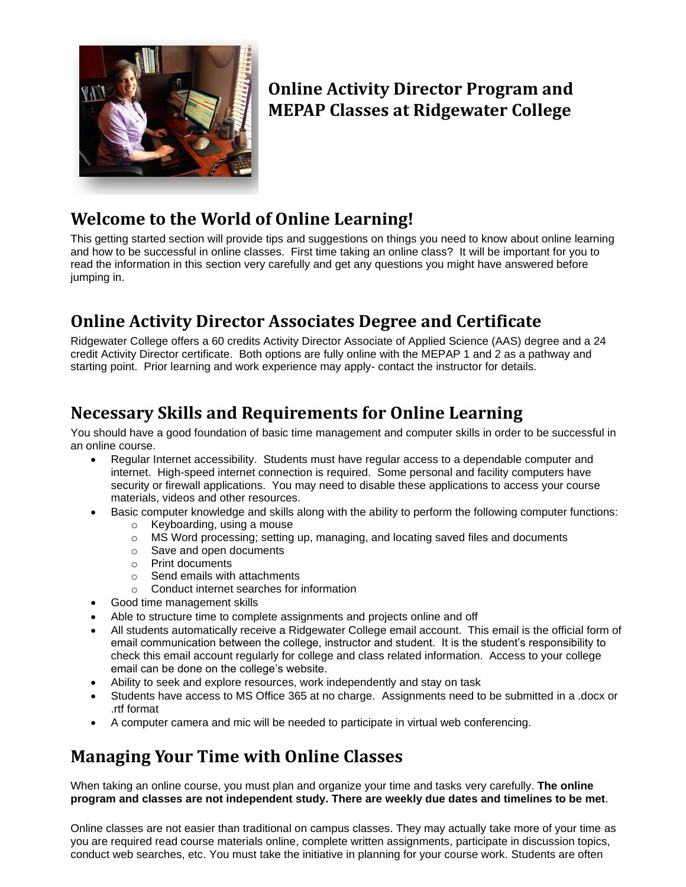

# **Online Activity Director Program and MEPAP Classes at Ridgewater College**

# **Welcome to the World of Online Learning!**

This getting started section will provide tips and suggestions on things you need to know about online learning and how to be successful in online classes. First time taking an online class? It will be important for you to read the information in this section very carefully and get any questions you might have answered before jumping in.

# **Online Activity Director Associates Degree and Certificate**

Ridgewater College offers a 60 credits Activity Director Associate of Applied Science (AAS) degree and a 24 credit Activity Director certificate. Both options are fully online with the MEPAP 1 and 2 as a pathway and starting point. Prior learning and work experience may apply- contact the instructor for details.

# **Necessary Skills and Requirements for Online Learning**

You should have a good foundation of basic time management and computer skills in order to be successful in an online course.

- Regular Internet accessibility. Students must have regular access to a dependable computer and internet. High-speed internet connection is required. Some personal and facility computers have security or firewall applications. You may need to disable these applications to access your course materials, videos and other resources.
	- Basic computer knowledge and skills along with the ability to perform the following computer functions:
		- o Keyboarding, using a mouse
			- o MS Word processing; setting up, managing, and locating saved files and documents
			- o Save and open documents
			- o Print documents
			- o Send emails with attachments
		- o Conduct internet searches for information
- Good time management skills
- Able to structure time to complete assignments and projects online and off
- All students automatically receive a Ridgewater College email account. This email is the official form of email communication between the college, instructor and student. It is the student's responsibility to check this email account regularly for college and class related information. Access to your college email can be done on the college's website.
- Ability to seek and explore resources, work independently and stay on task
- Students have access to MS Office 365 at no charge. Assignments need to be submitted in a .docx or .rtf format
- A computer camera and mic will be needed to participate in virtual web conferencing.

# **Managing Your Time with Online Classes**

When taking an online course, you must plan and organize your time and tasks very carefully. **The online program and classes are not independent study. There are weekly due dates and timelines to be met**.

Online classes are not easier than traditional on campus classes. They may actually take more of your time as you are required read course materials online, complete written assignments, participate in discussion topics, conduct web searches, etc. You must take the initiative in planning for your course work. Students are often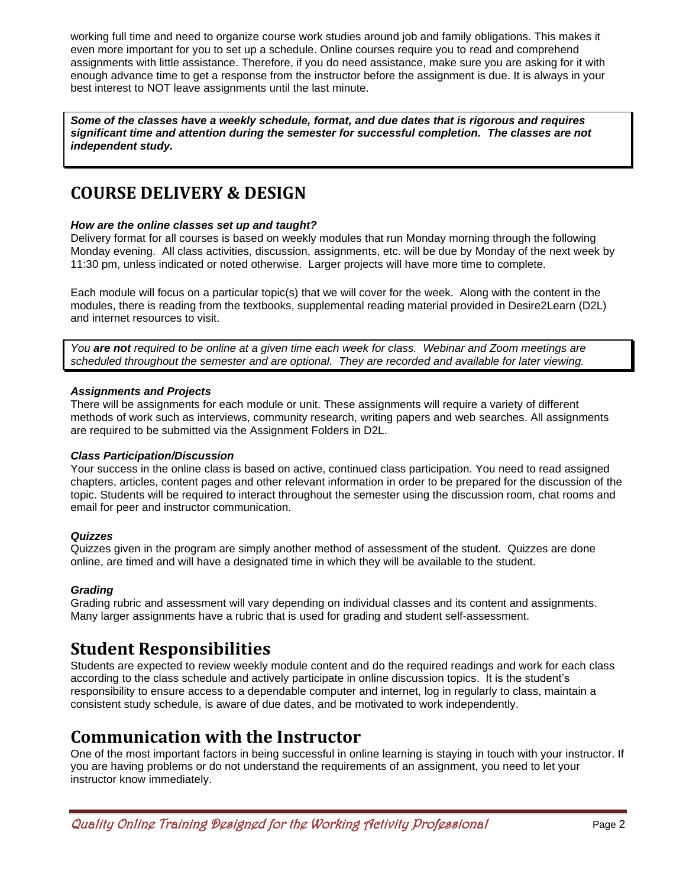working full time and need to organize course work studies around job and family obligations. This makes it even more important for you to set up a schedule. Online courses require you to read and comprehend assignments with little assistance. Therefore, if you do need assistance, make sure you are asking for it with enough advance time to get a response from the instructor before the assignment is due. It is always in your best interest to NOT leave assignments until the last minute.

*Some of the classes have a weekly schedule, format, and due dates that is rigorous and requires significant time and attention during the semester for successful completion. The classes are not independent study.*

# **COURSE DELIVERY & DESIGN**

# *How are the online classes set up and taught?*

Delivery format for all courses is based on weekly modules that run Monday morning through the following Monday evening. All class activities, discussion, assignments, etc. will be due by Monday of the next week by 11:30 pm, unless indicated or noted otherwise. Larger projects will have more time to complete.

Each module will focus on a particular topic(s) that we will cover for the week. Along with the content in the modules, there is reading from the textbooks, supplemental reading material provided in Desire2Learn (D2L) and internet resources to visit.

*You are not required to be online at a given time each week for class. Webinar and Zoom meetings are scheduled throughout the semester and are optional. They are recorded and available for later viewing.*

# *Assignments and Projects*

There will be assignments for each module or unit. These assignments will require a variety of different methods of work such as interviews, community research, writing papers and web searches. All assignments are required to be submitted via the Assignment Folders in D2L.

# *Class Participation/Discussion*

Your success in the online class is based on active, continued class participation. You need to read assigned chapters, articles, content pages and other relevant information in order to be prepared for the discussion of the topic. Students will be required to interact throughout the semester using the discussion room, chat rooms and email for peer and instructor communication.

# *Quizzes*

Quizzes given in the program are simply another method of assessment of the student. Quizzes are done online, are timed and will have a designated time in which they will be available to the student.

# *Grading*

Grading rubric and assessment will vary depending on individual classes and its content and assignments. Many larger assignments have a rubric that is used for grading and student self-assessment.

# **Student Responsibilities**

Students are expected to review weekly module content and do the required readings and work for each class according to the class schedule and actively participate in online discussion topics. It is the student's responsibility to ensure access to a dependable computer and internet, log in regularly to class, maintain a consistent study schedule, is aware of due dates, and be motivated to work independently.

# **Communication with the Instructor**

One of the most important factors in being successful in online learning is staying in touch with your instructor. If you are having problems or do not understand the requirements of an assignment, you need to let your instructor know immediately.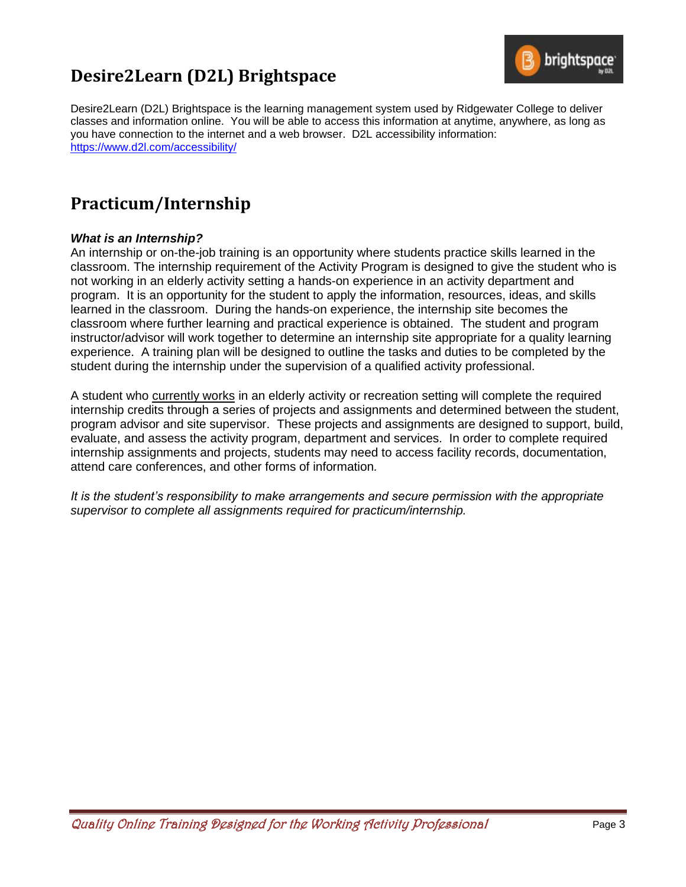# **Desire2Learn (D2L) Brightspace**



Desire2Learn (D2L) Brightspace is the learning management system used by Ridgewater College to deliver classes and information online. You will be able to access this information at anytime, anywhere, as long as you have connection to the internet and a web browser. D2L accessibility information: <https://www.d2l.com/accessibility/>

# **Practicum/Internship**

# *What is an Internship?*

An internship or on-the-job training is an opportunity where students practice skills learned in the classroom. The internship requirement of the Activity Program is designed to give the student who is not working in an elderly activity setting a hands-on experience in an activity department and program. It is an opportunity for the student to apply the information, resources, ideas, and skills learned in the classroom. During the hands-on experience, the internship site becomes the classroom where further learning and practical experience is obtained. The student and program instructor/advisor will work together to determine an internship site appropriate for a quality learning experience. A training plan will be designed to outline the tasks and duties to be completed by the student during the internship under the supervision of a qualified activity professional.

A student who currently works in an elderly activity or recreation setting will complete the required internship credits through a series of projects and assignments and determined between the student, program advisor and site supervisor. These projects and assignments are designed to support, build, evaluate, and assess the activity program, department and services. In order to complete required internship assignments and projects, students may need to access facility records, documentation, attend care conferences, and other forms of information*.*

*It is the student's responsibility to make arrangements and secure permission with the appropriate supervisor to complete all assignments required for practicum/internship.*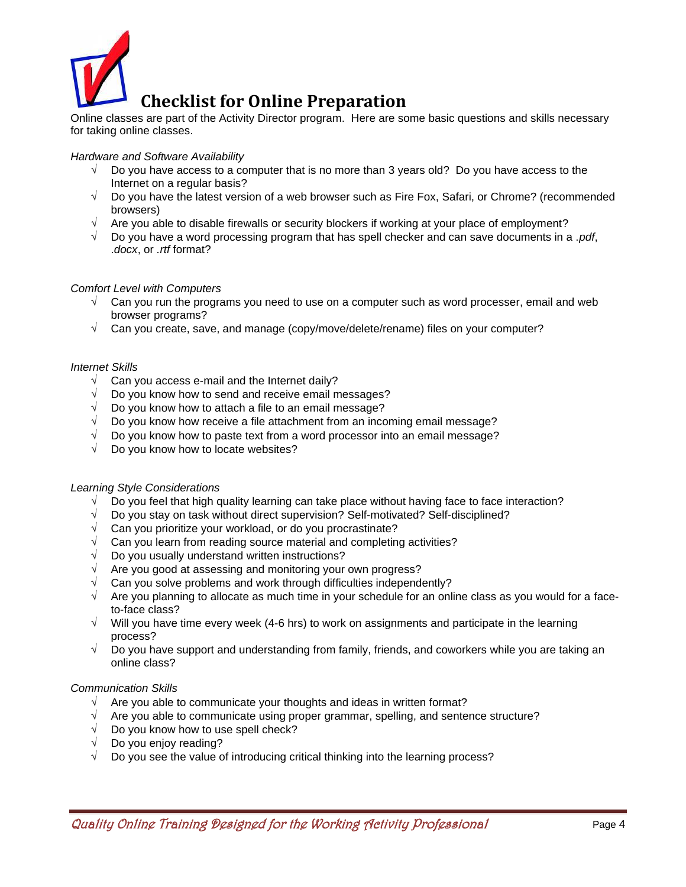

Online classes are part of the Activity Director program. Here are some basic questions and skills necessary for taking online classes.

# *Hardware and Software Availability*

- $\sqrt{ }$  Do you have access to a computer that is no more than 3 years old? Do you have access to the Internet on a regular basis?
- $\sqrt{ }$  Do you have the latest version of a web browser such as Fire Fox, Safari, or Chrome? (recommended browsers)
- $\sqrt{ }$  Are you able to disable firewalls or security blockers if working at your place of employment?
- Do you have a word processing program that has spell checker and can save documents in a .*pdf*, .*docx*, or *.rtf* format?

## *Comfort Level with Computers*

- $\sqrt{ }$  Can you run the programs you need to use on a computer such as word processer, email and web browser programs?
- $\sqrt{ }$  Can you create, save, and manage (copy/move/delete/rename) files on your computer?

## *Internet Skills*

- $\sqrt{ }$  Can you access e-mail and the Internet daily?
- $\sqrt{ }$  Do you know how to send and receive email messages?
- Do you know how to attach a file to an email message?
- Do you know how receive a file attachment from an incoming email message?
- Do you know how to paste text from a word processor into an email message?
- Do you know how to locate websites?

## *Learning Style Considerations*

- Do you feel that high quality learning can take place without having face to face interaction?
- Do you stay on task without direct supervision? Self-motivated? Self-disciplined?
- $\sqrt{ }$  Can you prioritize your workload, or do you procrastinate?
- Can you learn from reading source material and completing activities?
- $\sqrt{ }$  Do you usually understand written instructions?
- $\sqrt{ }$  Are you good at assessing and monitoring your own progress?
- Can you solve problems and work through difficulties independently?
- Are you planning to allocate as much time in your schedule for an online class as you would for a faceto-face class?
- $\sqrt{ }$  Will you have time every week (4-6 hrs) to work on assignments and participate in the learning process?
- $\sqrt{ }$  Do you have support and understanding from family, friends, and coworkers while you are taking an online class?

## *Communication Skills*

- $\sqrt{ }$  Are you able to communicate your thoughts and ideas in written format?
- Are you able to communicate using proper grammar, spelling, and sentence structure?
- $\sqrt{ }$  Do you know how to use spell check?
- Do you enjoy reading?
- Do you see the value of introducing critical thinking into the learning process?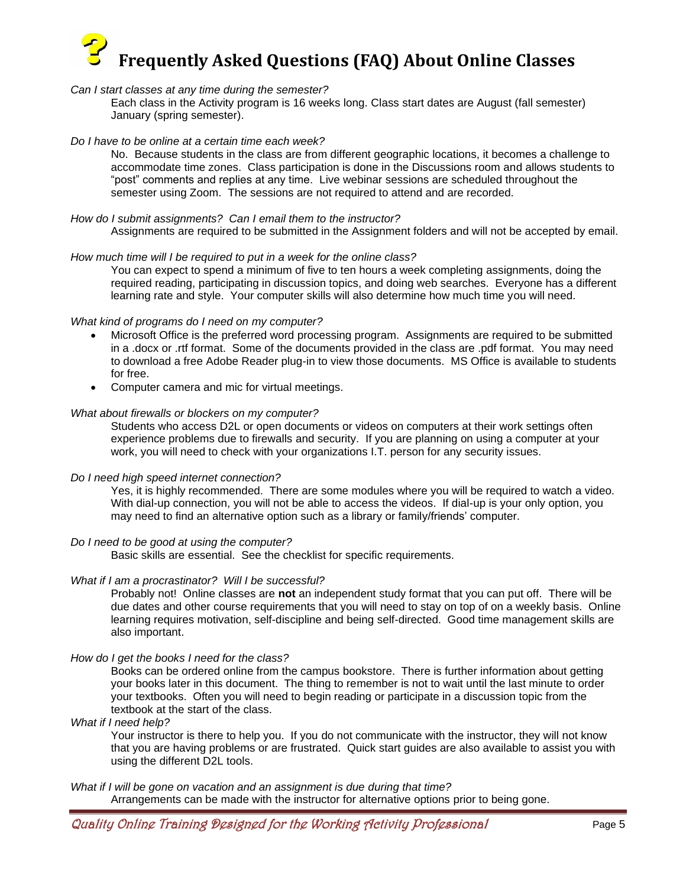# **Frequently Asked Questions (FAQ) About Online Classes**

## *Can I start classes at any time during the semester?*

Each class in the Activity program is 16 weeks long. Class start dates are August (fall semester) January (spring semester).

## *Do I have to be online at a certain time each week?*

No. Because students in the class are from different geographic locations, it becomes a challenge to accommodate time zones. Class participation is done in the Discussions room and allows students to "post" comments and replies at any time. Live webinar sessions are scheduled throughout the semester using Zoom. The sessions are not required to attend and are recorded.

## *How do I submit assignments? Can I email them to the instructor?*

Assignments are required to be submitted in the Assignment folders and will not be accepted by email.

#### *How much time will I be required to put in a week for the online class?*

You can expect to spend a minimum of five to ten hours a week completing assignments, doing the required reading, participating in discussion topics, and doing web searches. Everyone has a different learning rate and style. Your computer skills will also determine how much time you will need.

## *What kind of programs do I need on my computer?*

- Microsoft Office is the preferred word processing program. Assignments are required to be submitted in a .docx or .rtf format. Some of the documents provided in the class are .pdf format. You may need to download a free Adobe Reader plug-in to view those documents. MS Office is available to students for free.
- Computer camera and mic for virtual meetings.

#### *What about firewalls or blockers on my computer?*

Students who access D2L or open documents or videos on computers at their work settings often experience problems due to firewalls and security. If you are planning on using a computer at your work, you will need to check with your organizations I.T. person for any security issues.

## *Do I need high speed internet connection?*

Yes, it is highly recommended. There are some modules where you will be required to watch a video. With dial-up connection, you will not be able to access the videos. If dial-up is your only option, you may need to find an alternative option such as a library or family/friends' computer.

## *Do I need to be good at using the computer?*

Basic skills are essential. See the checklist for specific requirements.

#### *What if I am a procrastinator? Will I be successful?*

Probably not! Online classes are **not** an independent study format that you can put off. There will be due dates and other course requirements that you will need to stay on top of on a weekly basis. Online learning requires motivation, self-discipline and being self-directed. Good time management skills are also important.

## *How do I get the books I need for the class?*

Books can be ordered online from the campus bookstore. There is further information about getting your books later in this document. The thing to remember is not to wait until the last minute to order your textbooks. Often you will need to begin reading or participate in a discussion topic from the textbook at the start of the class.

#### *What if I need help?*

Your instructor is there to help you. If you do not communicate with the instructor, they will not know that you are having problems or are frustrated. Quick start guides are also available to assist you with using the different D2L tools.

#### *What if I will be gone on vacation and an assignment is due during that time?*

Arrangements can be made with the instructor for alternative options prior to being gone.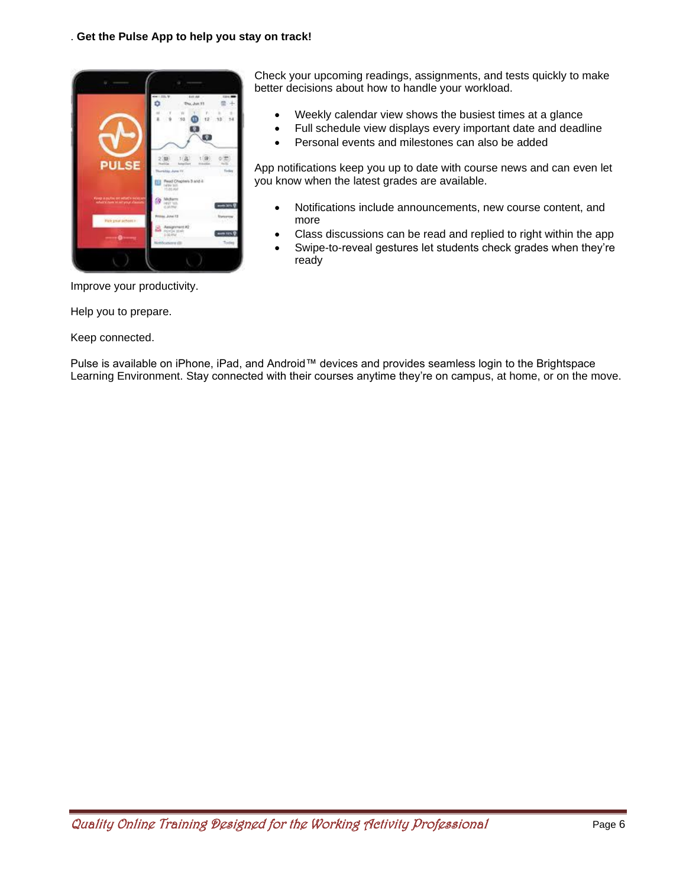

Check your upcoming readings, assignments, and tests quickly to make better decisions about how to handle your workload.

- Weekly calendar view shows the busiest times at a glance
- Full schedule view displays every important date and deadline
- Personal events and milestones can also be added

App notifications keep you up to date with course news and can even let you know when the latest grades are available.

- Notifications include announcements, new course content, and more
- Class discussions can be read and replied to right within the app
- Swipe-to-reveal gestures let students check grades when they're ready

Improve your productivity.

Help you to prepare.

Keep connected.

Pulse is available on iPhone, iPad, and Android™ devices and provides seamless login to the Brightspace Learning Environment. Stay connected with their courses anytime they're on campus, at home, or on the move.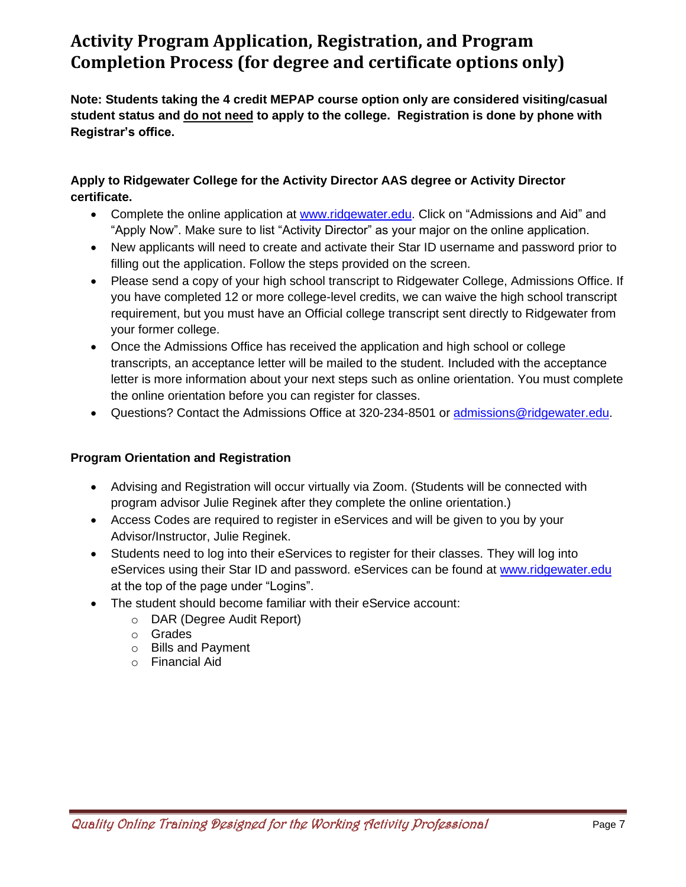# **Activity Program Application, Registration, and Program Completion Process (for degree and certificate options only)**

**Note: Students taking the 4 credit MEPAP course option only are considered visiting/casual student status and do not need to apply to the college. Registration is done by phone with Registrar's office.** 

# **Apply to Ridgewater College for the Activity Director AAS degree or Activity Director certificate.**

- Complete the online application at [www.ridgewater.edu.](http://www.ridgewater.edu/) Click on "Admissions and Aid" and "Apply Now". Make sure to list "Activity Director" as your major on the online application.
- New applicants will need to create and activate their Star ID username and password prior to filling out the application. Follow the steps provided on the screen.
- Please send a copy of your high school transcript to Ridgewater College, Admissions Office. If you have completed 12 or more college-level credits, we can waive the high school transcript requirement, but you must have an Official college transcript sent directly to Ridgewater from your former college.
- Once the Admissions Office has received the application and high school or college transcripts, an acceptance letter will be mailed to the student. Included with the acceptance letter is more information about your next steps such as online orientation. You must complete the online orientation before you can register for classes.
- Questions? Contact the Admissions Office at 320-234-8501 or [admissions@ridgewater.edu.](mailto:admissions@ridgewater.edu)

# **Program Orientation and Registration**

- Advising and Registration will occur virtually via Zoom. (Students will be connected with program advisor Julie Reginek after they complete the online orientation.)
- Access Codes are required to register in eServices and will be given to you by your Advisor/Instructor, Julie Reginek.
- Students need to log into their eServices to register for their classes. They will log into eServices using their Star ID and password. eServices can be found at [www.ridgewater.edu](http://www.ridgewater.edu/) at the top of the page under "Logins".
- The student should become familiar with their eService account:
	- o DAR (Degree Audit Report)
	- o Grades
	- o Bills and Payment
	- o Financial Aid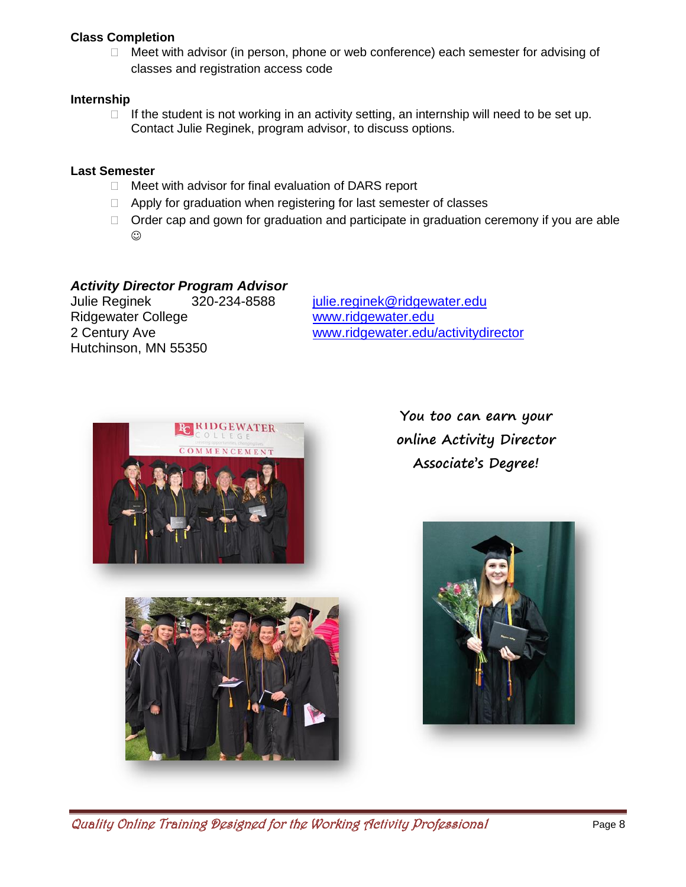# **Class Completion**

□ Meet with advisor (in person, phone or web conference) each semester for advising of classes and registration access code

# **Internship**

If the student is not working in an activity setting, an internship will need to be set up. Contact Julie Reginek, program advisor, to discuss options.

# **Last Semester**

- $\Box$  Meet with advisor for final evaluation of DARS report
- □ Apply for graduation when registering for last semester of classes
- $\Box$  Order cap and gown for graduation and participate in graduation ceremony if you are able ☺

# *Activity Director Program Advisor*

Julie Reginek 320-234-8588 [julie.reginek@ridgewater.edu](mailto:julie.reginek@ridgewater.edu) Ridgewater College [www.ridgewater.edu](http://www.ridgewater.edu/) Hutchinson, MN 55350

2 Century Ave **[www.ridgewater.edu/activitydirector](http://www.ridgewater.edu/activitydirector)** 



**You too can earn your online Activity Director Associate's Degree!**



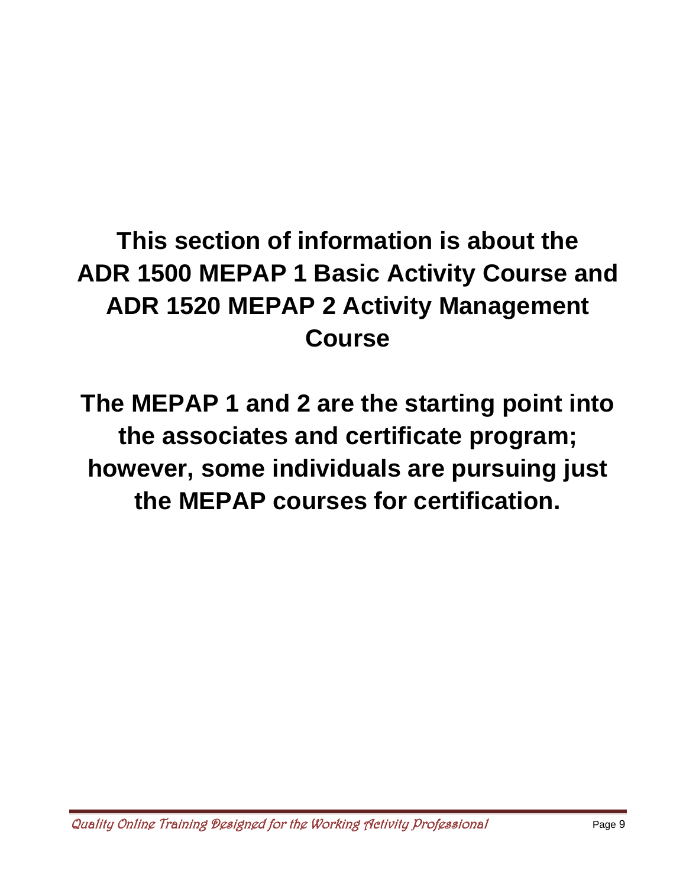# **This section of information is about the ADR 1500 MEPAP 1 Basic Activity Course and ADR 1520 MEPAP 2 Activity Management Course**

**The MEPAP 1 and 2 are the starting point into the associates and certificate program; however, some individuals are pursuing just the MEPAP courses for certification.**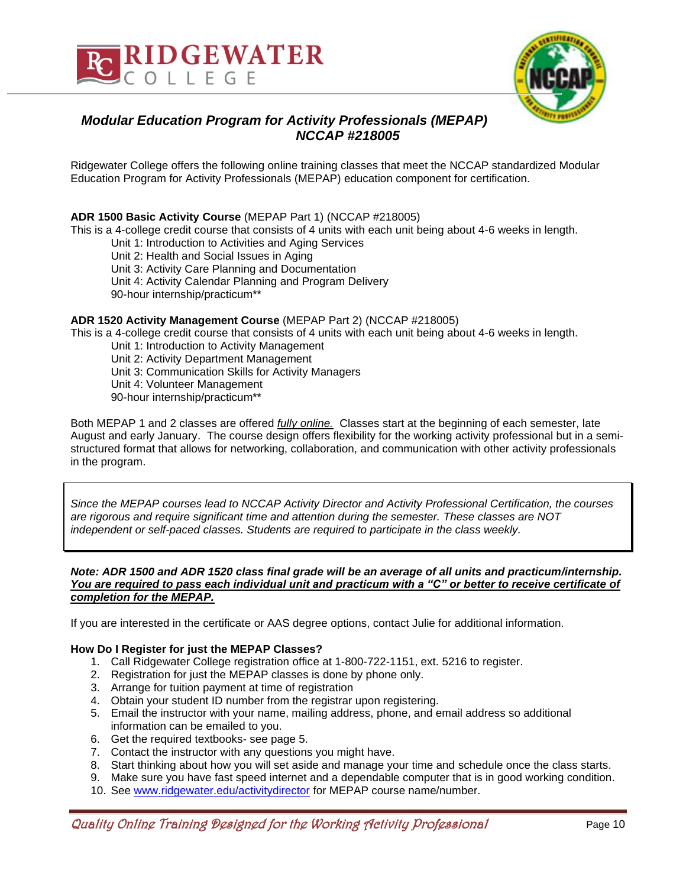



# *Modular Education Program for Activity Professionals (MEPAP) NCCAP #218005*

Ridgewater College offers the following online training classes that meet the NCCAP standardized Modular Education Program for Activity Professionals (MEPAP) education component for certification.

# **ADR 1500 Basic Activity Course** (MEPAP Part 1) (NCCAP #218005)

This is a 4-college credit course that consists of 4 units with each unit being about 4-6 weeks in length.

Unit 1: Introduction to Activities and Aging Services

Unit 2: Health and Social Issues in Aging

Unit 3: Activity Care Planning and Documentation

Unit 4: Activity Calendar Planning and Program Delivery

90-hour internship/practicum\*\*

## **ADR 1520 Activity Management Course** (MEPAP Part 2) (NCCAP #218005)

This is a 4-college credit course that consists of 4 units with each unit being about 4-6 weeks in length.

- Unit 1: Introduction to Activity Management
- Unit 2: Activity Department Management
- Unit 3: Communication Skills for Activity Managers
- Unit 4: Volunteer Management
- 90-hour internship/practicum\*\*

Both MEPAP 1 and 2 classes are offered *fully online.* Classes start at the beginning of each semester, late August and early January. The course design offers flexibility for the working activity professional but in a semistructured format that allows for networking, collaboration, and communication with other activity professionals in the program.

*Since the MEPAP courses lead to NCCAP Activity Director and Activity Professional Certification, the courses are rigorous and require significant time and attention during the semester. These classes are NOT independent or self-paced classes. Students are required to participate in the class weekly.*

## *Note: ADR 1500 and ADR 1520 class final grade will be an average of all units and practicum/internship. You are required to pass each individual unit and practicum with a "C" or better to receive certificate of completion for the MEPAP.*

If you are interested in the certificate or AAS degree options, contact Julie for additional information.

## **How Do I Register for just the MEPAP Classes?**

- 1. Call Ridgewater College registration office at 1-800-722-1151, ext. 5216 to register.
- 2. Registration for just the MEPAP classes is done by phone only.
- 3. Arrange for tuition payment at time of registration
- 4. Obtain your student ID number from the registrar upon registering.
- 5. Email the instructor with your name, mailing address, phone, and email address so additional information can be emailed to you.
- 6. Get the required textbooks- see page 5.
- 7. Contact the instructor with any questions you might have.
- 8. Start thinking about how you will set aside and manage your time and schedule once the class starts.
- 9. Make sure you have fast speed internet and a dependable computer that is in good working condition.
- 10. See [www.ridgewater.edu/activitydirector](http://www.ridgewater.edu/activitydirector) for MEPAP course name/number.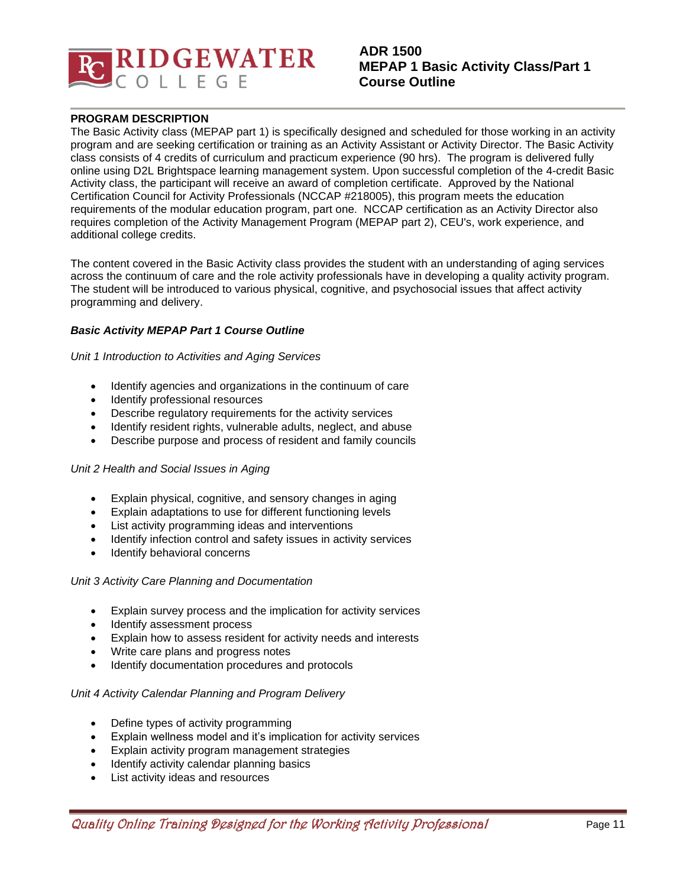

# **ADR 1500 MEPAP 1 Basic Activity Class/Part 1 Course Outline**

#### **PROGRAM DESCRIPTION**

The Basic Activity class (MEPAP part 1) is specifically designed and scheduled for those working in an activity program and are seeking certification or training as an Activity Assistant or Activity Director. The Basic Activity class consists of 4 credits of curriculum and practicum experience (90 hrs). The program is delivered fully online using D2L Brightspace learning management system. Upon successful completion of the 4-credit Basic Activity class, the participant will receive an award of completion certificate. Approved by the National Certification Council for Activity Professionals (NCCAP #218005), this program meets the education requirements of the modular education program, part one. NCCAP certification as an Activity Director also requires completion of the Activity Management Program (MEPAP part 2), CEU's, work experience, and additional college credits.

The content covered in the Basic Activity class provides the student with an understanding of aging services across the continuum of care and the role activity professionals have in developing a quality activity program. The student will be introduced to various physical, cognitive, and psychosocial issues that affect activity programming and delivery.

#### *Basic Activity MEPAP Part 1 Course Outline*

*Unit 1 Introduction to Activities and Aging Services* 

- Identify agencies and organizations in the continuum of care
- Identify professional resources
- Describe regulatory requirements for the activity services
- Identify resident rights, vulnerable adults, neglect, and abuse
- Describe purpose and process of resident and family councils

#### *Unit 2 Health and Social Issues in Aging*

- Explain physical, cognitive, and sensory changes in aging
- Explain adaptations to use for different functioning levels
- List activity programming ideas and interventions
- Identify infection control and safety issues in activity services
- Identify behavioral concerns

#### *Unit 3 Activity Care Planning and Documentation*

- Explain survey process and the implication for activity services
- Identify assessment process
- Explain how to assess resident for activity needs and interests
- Write care plans and progress notes
- Identify documentation procedures and protocols

#### *Unit 4 Activity Calendar Planning and Program Delivery*

- Define types of activity programming
- Explain wellness model and it's implication for activity services
- Explain activity program management strategies
- Identify activity calendar planning basics
- List activity ideas and resources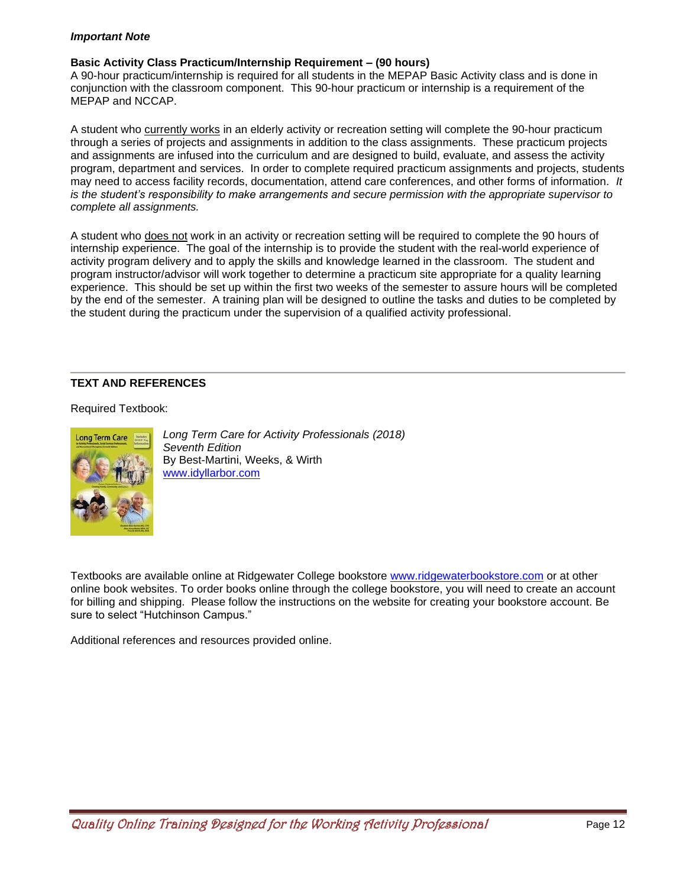## *Important Note*

# **Basic Activity Class Practicum/Internship Requirement – (90 hours)**

A 90-hour practicum/internship is required for all students in the MEPAP Basic Activity class and is done in conjunction with the classroom component. This 90-hour practicum or internship is a requirement of the MEPAP and NCCAP.

A student who currently works in an elderly activity or recreation setting will complete the 90-hour practicum through a series of projects and assignments in addition to the class assignments. These practicum projects and assignments are infused into the curriculum and are designed to build, evaluate, and assess the activity program, department and services. In order to complete required practicum assignments and projects, students may need to access facility records, documentation, attend care conferences, and other forms of information*. It is the student's responsibility to make arrangements and secure permission with the appropriate supervisor to complete all assignments.*

A student who does not work in an activity or recreation setting will be required to complete the 90 hours of internship experience. The goal of the internship is to provide the student with the real-world experience of activity program delivery and to apply the skills and knowledge learned in the classroom. The student and program instructor/advisor will work together to determine a practicum site appropriate for a quality learning experience. This should be set up within the first two weeks of the semester to assure hours will be completed by the end of the semester. A training plan will be designed to outline the tasks and duties to be completed by the student during the practicum under the supervision of a qualified activity professional.

# **TEXT AND REFERENCES**

Required Textbook:



*Long Term Care for Activity Professionals (2018) Seventh Edition* By Best-Martini, Weeks, & Wirth [www.idyllarbor.com](http://www.idyllarbor.com/)

Textbooks are available online at Ridgewater College bookstore [www.ridgewaterbookstore.com](http://www.ridgewaterbookstore.com/) or at other online book websites. To order books online through the college bookstore, you will need to create an account for billing and shipping. Please follow the instructions on the website for creating your bookstore account. Be sure to select "Hutchinson Campus."

Additional references and resources provided online.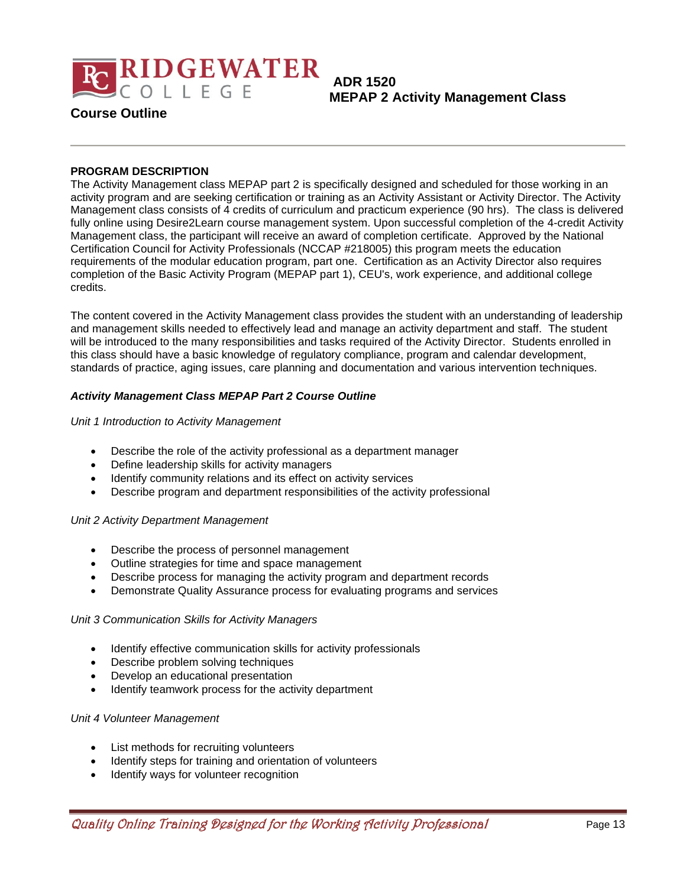

**ADR 1520 MEPAP 2 Activity Management Class**

# **Course Outline**

## **PROGRAM DESCRIPTION**

The Activity Management class MEPAP part 2 is specifically designed and scheduled for those working in an activity program and are seeking certification or training as an Activity Assistant or Activity Director. The Activity Management class consists of 4 credits of curriculum and practicum experience (90 hrs). The class is delivered fully online using Desire2Learn course management system. Upon successful completion of the 4-credit Activity Management class, the participant will receive an award of completion certificate. Approved by the National Certification Council for Activity Professionals (NCCAP #218005) this program meets the education requirements of the modular education program, part one. Certification as an Activity Director also requires completion of the Basic Activity Program (MEPAP part 1), CEU's, work experience, and additional college credits.

The content covered in the Activity Management class provides the student with an understanding of leadership and management skills needed to effectively lead and manage an activity department and staff. The student will be introduced to the many responsibilities and tasks required of the Activity Director. Students enrolled in this class should have a basic knowledge of regulatory compliance, program and calendar development, standards of practice, aging issues, care planning and documentation and various intervention techniques.

## *Activity Management Class MEPAP Part 2 Course Outline*

## *Unit 1 Introduction to Activity Management*

- Describe the role of the activity professional as a department manager
- Define leadership skills for activity managers
- Identify community relations and its effect on activity services
- Describe program and department responsibilities of the activity professional

## *Unit 2 Activity Department Management*

- Describe the process of personnel management
- Outline strategies for time and space management
- Describe process for managing the activity program and department records
- Demonstrate Quality Assurance process for evaluating programs and services

## *Unit 3 Communication Skills for Activity Managers*

- Identify effective communication skills for activity professionals
- Describe problem solving techniques
- Develop an educational presentation
- Identify teamwork process for the activity department

#### *Unit 4 Volunteer Management*

- List methods for recruiting volunteers
- Identify steps for training and orientation of volunteers
- Identify ways for volunteer recognition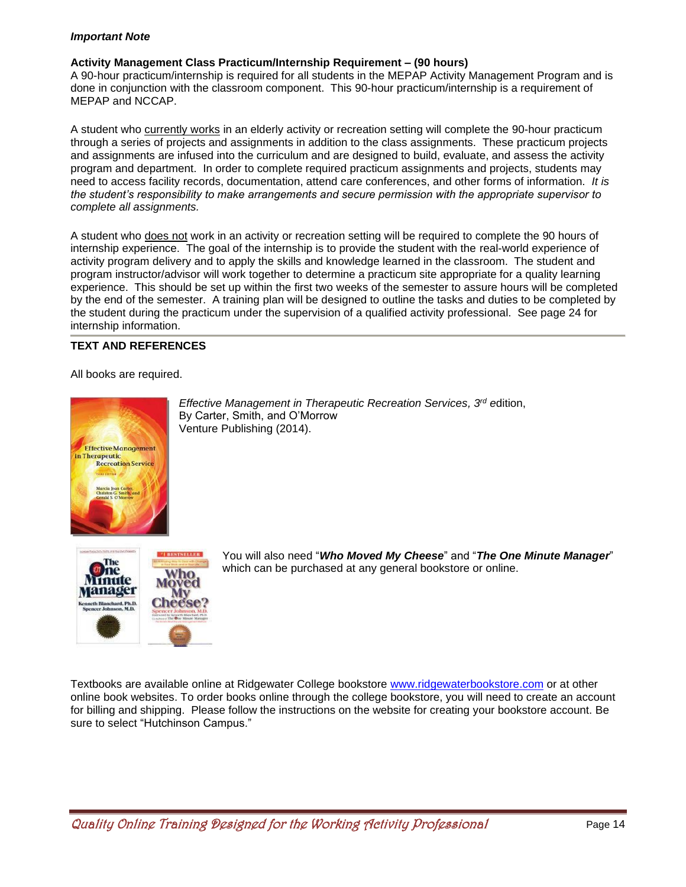## *Important Note*

# **Activity Management Class Practicum/Internship Requirement – (90 hours)**

A 90-hour practicum/internship is required for all students in the MEPAP Activity Management Program and is done in conjunction with the classroom component. This 90-hour practicum/internship is a requirement of MEPAP and NCCAP.

A student who currently works in an elderly activity or recreation setting will complete the 90-hour practicum through a series of projects and assignments in addition to the class assignments. These practicum projects and assignments are infused into the curriculum and are designed to build, evaluate, and assess the activity program and department. In order to complete required practicum assignments and projects, students may need to access facility records, documentation, attend care conferences, and other forms of information. *It is the student's responsibility to make arrangements and secure permission with the appropriate supervisor to complete all assignments.* 

A student who does not work in an activity or recreation setting will be required to complete the 90 hours of internship experience. The goal of the internship is to provide the student with the real-world experience of activity program delivery and to apply the skills and knowledge learned in the classroom. The student and program instructor/advisor will work together to determine a practicum site appropriate for a quality learning experience. This should be set up within the first two weeks of the semester to assure hours will be completed by the end of the semester. A training plan will be designed to outline the tasks and duties to be completed by the student during the practicum under the supervision of a qualified activity professional. See page 24 for internship information.

# **TEXT AND REFERENCES**

All books are required.



*Effective Management in Therapeutic Recreation Services, 3 rd e*dition, By Carter, Smith, and O'Morrow Venture Publishing (2014).



You will also need "*Who Moved My Cheese*" and "*The One Minute Manager*" which can be purchased at any general bookstore or online.

Textbooks are available online at Ridgewater College bookstore [www.ridgewaterbookstore.com](http://www.ridgewaterbookstore.com/) or at other online book websites. To order books online through the college bookstore, you will need to create an account for billing and shipping. Please follow the instructions on the website for creating your bookstore account. Be sure to select "Hutchinson Campus."